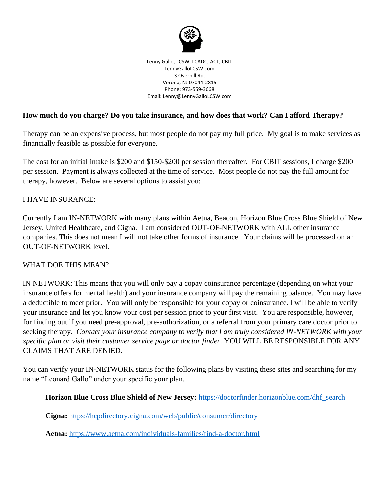

Lenny Gallo, LCSW, LCADC, ACT, CBIT LennyGalloLCSW.com 3 Overhill Rd. Verona, NJ 07044-2815 Phone: 973-559-3668 Email: Lenny@LennyGalloLCSW.com

### **How much do you charge? Do you take insurance, and how does that work? Can I afford Therapy?**

Therapy can be an expensive process, but most people do not pay my full price. My goal is to make services as financially feasible as possible for everyone.

The cost for an initial intake is \$200 and \$150-\$200 per session thereafter. For CBIT sessions, I charge \$200 per session. Payment is always collected at the time of service. Most people do not pay the full amount for therapy, however. Below are several options to assist you:

#### I HAVE INSURANCE:

Currently I am IN-NETWORK with many plans within Aetna, Beacon, Horizon Blue Cross Blue Shield of New Jersey, United Healthcare, and Cigna. I am considered OUT-OF-NETWORK with ALL other insurance companies. This does not mean I will not take other forms of insurance. Your claims will be processed on an OUT-OF-NETWORK level.

#### WHAT DOE THIS MEAN?

IN NETWORK: This means that you will only pay a copay coinsurance percentage (depending on what your insurance offers for mental health) and your insurance company will pay the remaining balance. You may have a deductible to meet prior. You will only be responsible for your copay or coinsurance. I will be able to verify your insurance and let you know your cost per session prior to your first visit. You are responsible, however, for finding out if you need pre-approval, pre-authorization, or a referral from your primary care doctor prior to seeking therapy. *Contact your insurance company to verify that I am truly considered IN-NETWORK with your specific plan or visit their customer service page or doctor finder.* YOU WILL BE RESPONSIBLE FOR ANY CLAIMS THAT ARE DENIED.

You can verify your IN-NETWORK status for the following plans by visiting these sites and searching for my name "Leonard Gallo" under your specific your plan.

**Horizon Blue Cross Blue Shield of New Jersey:** [https://doctorfinder.horizonblue.com/dhf\\_search](https://doctorfinder.horizonblue.com/dhf_search)

**Cigna:** <https://hcpdirectory.cigna.com/web/public/consumer/directory>

**Aetna:** <https://www.aetna.com/individuals-families/find-a-doctor.html>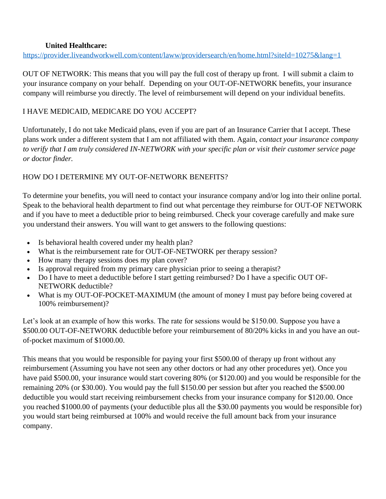### **United Healthcare:**

<https://provider.liveandworkwell.com/content/laww/providersearch/en/home.html?siteId=10275&lang=1>

OUT OF NETWORK: This means that you will pay the full cost of therapy up front. I will submit a claim to your insurance company on your behalf. Depending on your OUT-OF-NETWORK benefits, your insurance company will reimburse you directly. The level of reimbursement will depend on your individual benefits.

# I HAVE MEDICAID, MEDICARE DO YOU ACCEPT?

Unfortunately, I do not take Medicaid plans, even if you are part of an Insurance Carrier that I accept. These plans work under a different system that I am not affiliated with them. Again, *contact your insurance company to verify that I am truly considered IN-NETWORK with your specific plan or visit their customer service page or doctor finder.*

# HOW DO I DETERMINE MY OUT-OF-NETWORK BENEFITS?

To determine your benefits, you will need to contact your insurance company and/or log into their online portal. Speak to the behavioral health department to find out what percentage they reimburse for OUT-OF NETWORK and if you have to meet a deductible prior to being reimbursed. Check your coverage carefully and make sure you understand their answers. You will want to get answers to the following questions:

- Is behavioral health covered under my health plan?
- What is the reimbursement rate for OUT-OF-NETWORK per therapy session?
- How many therapy sessions does my plan cover?
- Is approval required from my primary care physician prior to seeing a therapist?
- Do I have to meet a deductible before I start getting reimbursed? Do I have a specific OUT OF-NETWORK deductible?
- What is my OUT-OF-POCKET-MAXIMUM (the amount of money I must pay before being covered at 100% reimbursement)?

Let's look at an example of how this works. The rate for sessions would be \$150.00. Suppose you have a \$500.00 OUT-OF-NETWORK deductible before your reimbursement of 80/20% kicks in and you have an outof-pocket maximum of \$1000.00.

This means that you would be responsible for paying your first \$500.00 of therapy up front without any reimbursement (Assuming you have not seen any other doctors or had any other procedures yet). Once you have paid \$500.00, your insurance would start covering 80% (or \$120.00) and you would be responsible for the remaining 20% (or \$30.00). You would pay the full \$150.00 per session but after you reached the \$500.00 deductible you would start receiving reimbursement checks from your insurance company for \$120.00. Once you reached \$1000.00 of payments (your deductible plus all the \$30.00 payments you would be responsible for) you would start being reimbursed at 100% and would receive the full amount back from your insurance company.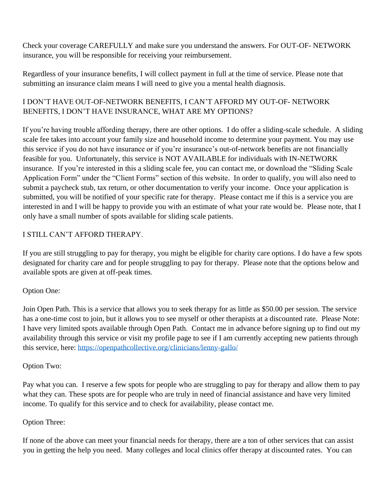Check your coverage CAREFULLY and make sure you understand the answers. For OUT-OF- NETWORK insurance, you will be responsible for receiving your reimbursement.

Regardless of your insurance benefits, I will collect payment in full at the time of service. Please note that submitting an insurance claim means I will need to give you a mental health diagnosis.

# I DON'T HAVE OUT-OF-NETWORK BENEFITS, I CAN'T AFFORD MY OUT-OF- NETWORK BENEFITS, I DON'T HAVE INSURANCE, WHAT ARE MY OPTIONS?

If you're having trouble affording therapy, there are other options. I do offer a sliding-scale schedule. A sliding scale fee takes into account your family size and household income to determine your payment. You may use this service if you do not have insurance or if you're insurance's out-of-network benefits are not financially feasible for you. Unfortunately, this service is NOT AVAILABLE for individuals with IN-NETWORK insurance. If you're interested in this a sliding scale fee, you can contact me, or download the "Sliding Scale Application Form" under the "Client Forms" section of this website. In order to qualify, you will also need to submit a paycheck stub, tax return, or other documentation to verify your income. Once your application is submitted, you will be notified of your specific rate for therapy. Please contact me if this is a service you are interested in and I will be happy to provide you with an estimate of what your rate would be. Please note, that I only have a small number of spots available for sliding scale patients.

# I STILL CAN'T AFFORD THERAPY.

If you are still struggling to pay for therapy, you might be eligible for charity care options. I do have a few spots designated for charity care and for people struggling to pay for therapy. Please note that the options below and available spots are given at off-peak times.

# Option One:

Join Open Path. This is a service that allows you to seek therapy for as little as \$50.00 per session. The service has a one-time cost to join, but it allows you to see myself or other therapists at a discounted rate. Please Note: I have very limited spots available through Open Path. Contact me in advance before signing up to find out my availability through this service or visit my profile page to see if I am currently accepting new patients through this service, here:<https://openpathcollective.org/clinicians/lenny-gallo/>

### Option Two:

Pay what you can. I reserve a few spots for people who are struggling to pay for therapy and allow them to pay what they can. These spots are for people who are truly in need of financial assistance and have very limited income. To qualify for this service and to check for availability, please contact me.

### Option Three:

If none of the above can meet your financial needs for therapy, there are a ton of other services that can assist you in getting the help you need. Many colleges and local clinics offer therapy at discounted rates. You can